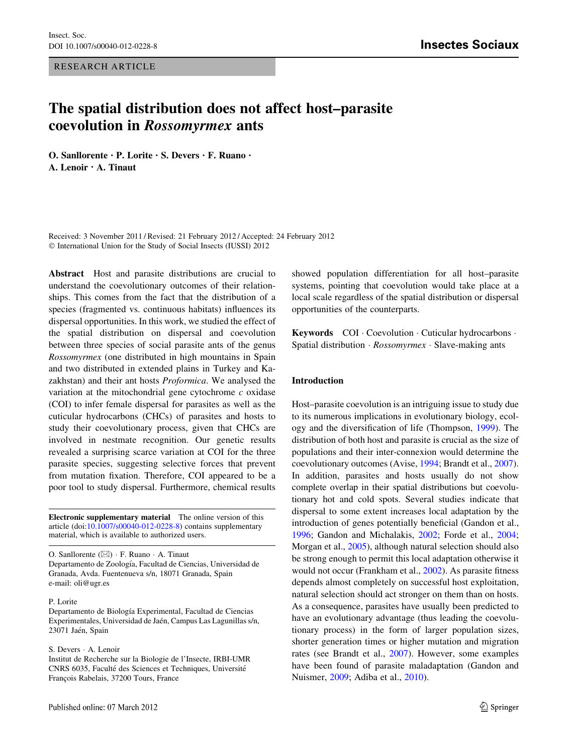RESEARCH ARTICLE

# The spatial distribution does not affect host–parasite coevolution in Rossomyrmex ants

O. Sanllorente • P. Lorite • S. Devers • F. Ruano • A. Lenoir • A. Tinaut

Received: 3 November 2011 / Revised: 21 February 2012 / Accepted: 24 February 2012 © International Union for the Study of Social Insects (IUSSI) 2012

Abstract Host and parasite distributions are crucial to understand the coevolutionary outcomes of their relationships. This comes from the fact that the distribution of a species (fragmented vs. continuous habitats) influences its dispersal opportunities. In this work, we studied the effect of the spatial distribution on dispersal and coevolution between three species of social parasite ants of the genus Rossomyrmex (one distributed in high mountains in Spain and two distributed in extended plains in Turkey and Kazakhstan) and their ant hosts Proformica. We analysed the variation at the mitochondrial gene cytochrome  $c$  oxidase (COI) to infer female dispersal for parasites as well as the cuticular hydrocarbons (CHCs) of parasites and hosts to study their coevolutionary process, given that CHCs are involved in nestmate recognition. Our genetic results revealed a surprising scarce variation at COI for the three parasite species, suggesting selective forces that prevent from mutation fixation. Therefore, COI appeared to be a poor tool to study dispersal. Furthermore, chemical results

Electronic supplementary material The online version of this article (doi[:10.1007/s00040-012-0228-8](http://dx.doi.org/10.1007/s00040-012-0228-8)) contains supplementary material, which is available to authorized users.

O. Sanllorente  $(\boxtimes) \cdot$  F. Ruano  $\cdot$  A. Tinaut Departamento de Zoología, Facultad de Ciencias, Universidad de Granada, Avda. Fuentenueva s/n, 18071 Granada, Spain e-mail: oli@ugr.es

#### P. Lorite

Departamento de Biología Experimental, Facultad de Ciencias Experimentales, Universidad de Jaén, Campus Las Lagunillas s/n, 23071 Jaén, Spain

S. Devers - A. Lenoir

Institut de Recherche sur la Biologie de l'Insecte, IRBI-UMR CNRS 6035, Faculté des Sciences et Techniques, Université François Rabelais, 37200 Tours, France

showed population differentiation for all host–parasite systems, pointing that coevolution would take place at a local scale regardless of the spatial distribution or dispersal opportunities of the counterparts.

Keywords COI · Coevolution · Cuticular hydrocarbons · Spatial distribution · Rossomyrmex · Slave-making ants

## Introduction

Host–parasite coevolution is an intriguing issue to study due to its numerous implications in evolutionary biology, ecology and the diversification of life (Thompson, [1999](#page-7-0)). The distribution of both host and parasite is crucial as the size of populations and their inter-connexion would determine the coevolutionary outcomes (Avise, [1994](#page-6-0); Brandt et al., [2007](#page-6-0)). In addition, parasites and hosts usually do not show complete overlap in their spatial distributions but coevolutionary hot and cold spots. Several studies indicate that dispersal to some extent increases local adaptation by the introduction of genes potentially beneficial (Gandon et al., [1996](#page-6-0); Gandon and Michalakis, [2002;](#page-6-0) Forde et al., [2004](#page-6-0); Morgan et al., [2005\)](#page-7-0), although natural selection should also be strong enough to permit this local adaptation otherwise it would not occur (Frankham et al., [2002\)](#page-6-0). As parasite fitness depends almost completely on successful host exploitation, natural selection should act stronger on them than on hosts. As a consequence, parasites have usually been predicted to have an evolutionary advantage (thus leading the coevolutionary process) in the form of larger population sizes, shorter generation times or higher mutation and migration rates (see Brandt et al., [2007](#page-6-0)). However, some examples have been found of parasite maladaptation (Gandon and Nuismer, [2009;](#page-6-0) Adiba et al., [2010](#page-6-0)).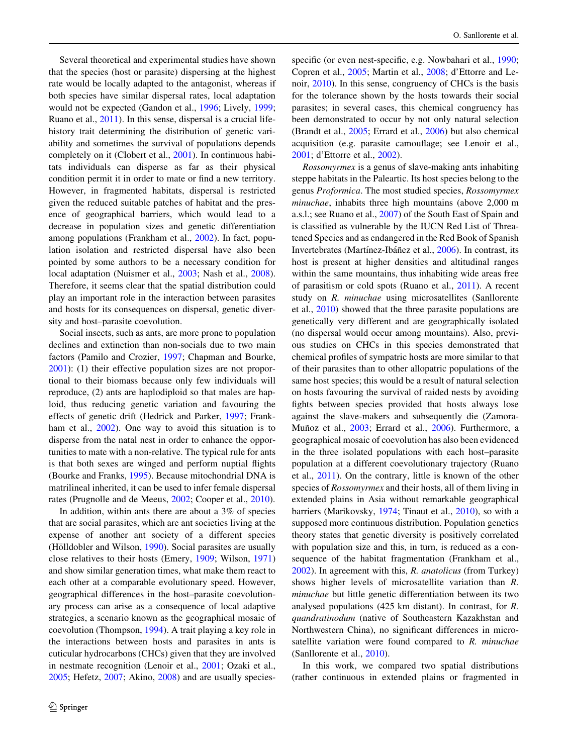Several theoretical and experimental studies have shown that the species (host or parasite) dispersing at the highest rate would be locally adapted to the antagonist, whereas if both species have similar dispersal rates, local adaptation would not be expected (Gandon et al., [1996;](#page-6-0) Lively, [1999](#page-7-0); Ruano et al., [2011\)](#page-7-0). In this sense, dispersal is a crucial lifehistory trait determining the distribution of genetic variability and sometimes the survival of populations depends completely on it (Clobert et al., [2001\)](#page-6-0). In continuous habitats individuals can disperse as far as their physical condition permit it in order to mate or find a new territory. However, in fragmented habitats, dispersal is restricted given the reduced suitable patches of habitat and the presence of geographical barriers, which would lead to a decrease in population sizes and genetic differentiation among populations (Frankham et al., [2002](#page-6-0)). In fact, population isolation and restricted dispersal have also been pointed by some authors to be a necessary condition for local adaptation (Nuismer et al., [2003;](#page-7-0) Nash et al., [2008](#page-7-0)). Therefore, it seems clear that the spatial distribution could play an important role in the interaction between parasites and hosts for its consequences on dispersal, genetic diversity and host–parasite coevolution.

Social insects, such as ants, are more prone to population declines and extinction than non-socials due to two main factors (Pamilo and Crozier, [1997](#page-7-0); Chapman and Bourke, [2001\)](#page-6-0): (1) their effective population sizes are not proportional to their biomass because only few individuals will reproduce, (2) ants are haplodiploid so that males are haploid, thus reducing genetic variation and favouring the effects of genetic drift (Hedrick and Parker, [1997](#page-6-0); Frank-ham et al., [2002](#page-6-0)). One way to avoid this situation is to disperse from the natal nest in order to enhance the opportunities to mate with a non-relative. The typical rule for ants is that both sexes are winged and perform nuptial flights (Bourke and Franks, [1995](#page-6-0)). Because mitochondrial DNA is matrilineal inherited, it can be used to infer female dispersal rates (Prugnolle and de Meeus, [2002;](#page-7-0) Cooper et al., [2010\)](#page-6-0).

In addition, within ants there are about a 3% of species that are social parasites, which are ant societies living at the expense of another ant society of a different species (Hölldobler and Wilson, [1990](#page-7-0)). Social parasites are usually close relatives to their hosts (Emery, [1909;](#page-6-0) Wilson, [1971\)](#page-7-0) and show similar generation times, what make them react to each other at a comparable evolutionary speed. However, geographical differences in the host–parasite coevolutionary process can arise as a consequence of local adaptive strategies, a scenario known as the geographical mosaic of coevolution (Thompson, [1994](#page-7-0)). A trait playing a key role in the interactions between hosts and parasites in ants is cuticular hydrocarbons (CHCs) given that they are involved in nestmate recognition (Lenoir et al., [2001;](#page-7-0) Ozaki et al., [2005;](#page-7-0) Hefetz, [2007](#page-6-0); Akino, [2008\)](#page-6-0) and are usually speciesspecific (or even nest-specific, e.g. Nowbahari et al., [1990](#page-7-0); Copren et al., [2005;](#page-6-0) Martin et al., [2008](#page-7-0); d'Ettorre and Lenoir, [2010\)](#page-6-0). In this sense, congruency of CHCs is the basis for the tolerance shown by the hosts towards their social parasites; in several cases, this chemical congruency has been demonstrated to occur by not only natural selection (Brandt et al., [2005;](#page-6-0) Errard et al., [2006](#page-6-0)) but also chemical acquisition (e.g. parasite camouflage; see Lenoir et al., [2001](#page-7-0); d'Ettorre et al., [2002](#page-6-0)).

Rossomyrmex is a genus of slave-making ants inhabiting steppe habitats in the Paleartic. Its host species belong to the genus Proformica. The most studied species, Rossomyrmex minuchae, inhabits three high mountains (above 2,000 m a.s.l.; see Ruano et al., [2007\)](#page-7-0) of the South East of Spain and is classified as vulnerable by the IUCN Red List of Threatened Species and as endangered in the Red Book of Spanish Invertebrates (Martínez-Ibáñez et al., [2006](#page-7-0)). In contrast, its host is present at higher densities and altitudinal ranges within the same mountains, thus inhabiting wide areas free of parasitism or cold spots (Ruano et al., [2011\)](#page-7-0). A recent study on R. minuchae using microsatellites (Sanllorente et al., [2010\)](#page-7-0) showed that the three parasite populations are genetically very different and are geographically isolated (no dispersal would occur among mountains). Also, previous studies on CHCs in this species demonstrated that chemical profiles of sympatric hosts are more similar to that of their parasites than to other allopatric populations of the same host species; this would be a result of natural selection on hosts favouring the survival of raided nests by avoiding fights between species provided that hosts always lose against the slave-makers and subsequently die (Zamora-Muñoz et al., [2003](#page-7-0); Errard et al., [2006\)](#page-6-0). Furthermore, a geographical mosaic of coevolution has also been evidenced in the three isolated populations with each host–parasite population at a different coevolutionary trajectory (Ruano et al., [2011\)](#page-7-0). On the contrary, little is known of the other species of Rossomyrmex and their hosts, all of them living in extended plains in Asia without remarkable geographical barriers (Marikovsky, [1974;](#page-7-0) Tinaut et al., [2010\)](#page-7-0), so with a supposed more continuous distribution. Population genetics theory states that genetic diversity is positively correlated with population size and this, in turn, is reduced as a consequence of the habitat fragmentation (Frankham et al., [2002](#page-6-0)). In agreement with this, R. anatolicus (from Turkey) shows higher levels of microsatellite variation than R. minuchae but little genetic differentiation between its two analysed populations (425 km distant). In contrast, for R. quandratinodum (native of Southeastern Kazakhstan and Northwestern China), no significant differences in microsatellite variation were found compared to R. minuchae (Sanllorente et al., [2010](#page-7-0)).

In this work, we compared two spatial distributions (rather continuous in extended plains or fragmented in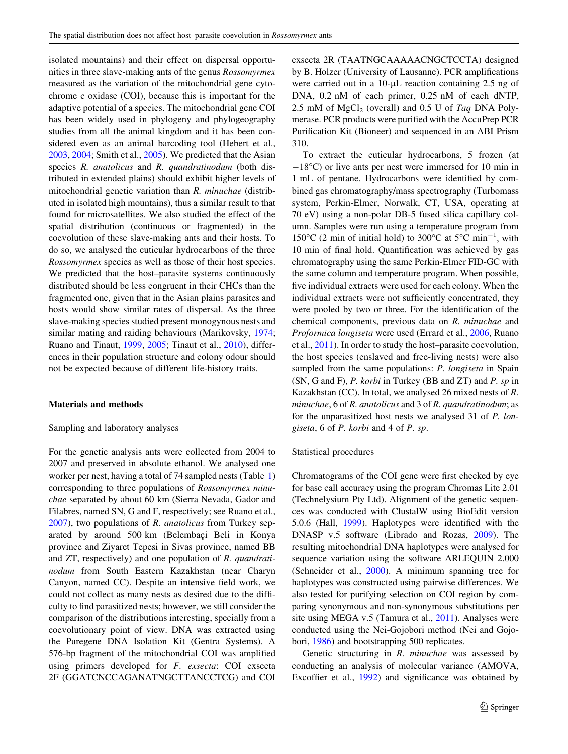isolated mountains) and their effect on dispersal opportunities in three slave-making ants of the genus Rossomyrmex measured as the variation of the mitochondrial gene cytochrome c oxidase (COI), because this is important for the adaptive potential of a species. The mitochondrial gene COI has been widely used in phylogeny and phylogeography studies from all the animal kingdom and it has been considered even as an animal barcoding tool (Hebert et al., [2003,](#page-6-0) [2004;](#page-6-0) Smith et al., [2005\)](#page-7-0). We predicted that the Asian species R. anatolicus and R. quandratinodum (both distributed in extended plains) should exhibit higher levels of mitochondrial genetic variation than R. minuchae (distributed in isolated high mountains), thus a similar result to that found for microsatellites. We also studied the effect of the spatial distribution (continuous or fragmented) in the coevolution of these slave-making ants and their hosts. To do so, we analysed the cuticular hydrocarbons of the three Rossomyrmex species as well as those of their host species. We predicted that the host–parasite systems continuously distributed should be less congruent in their CHCs than the fragmented one, given that in the Asian plains parasites and hosts would show similar rates of dispersal. As the three slave-making species studied present monogynous nests and similar mating and raiding behaviours (Marikovsky, [1974](#page-7-0); Ruano and Tinaut, [1999](#page-7-0), [2005;](#page-7-0) Tinaut et al., [2010\)](#page-7-0), differences in their population structure and colony odour should not be expected because of different life-history traits.

## Materials and methods

# Sampling and laboratory analyses

For the genetic analysis ants were collected from 2004 to 2007 and preserved in absolute ethanol. We analysed one worker per nest, having a total of 74 sampled nests (Table [1\)](#page-3-0) corresponding to three populations of Rossomyrmex minuchae separated by about 60 km (Sierra Nevada, Gador and Filabres, named SN, G and F, respectively; see Ruano et al.,  $2007$ ), two populations of R. *anatolicus* from Turkey separated by around 500 km (Belembaci Beli in Konya province and Ziyaret Tepesi in Sivas province, named BB and ZT, respectively) and one population of R. quandratinodum from South Eastern Kazakhstan (near Charyn Canyon, named CC). Despite an intensive field work, we could not collect as many nests as desired due to the difficulty to find parasitized nests; however, we still consider the comparison of the distributions interesting, specially from a coevolutionary point of view. DNA was extracted using the Puregene DNA Isolation Kit (Gentra Systems). A 576-bp fragment of the mitochondrial COI was amplified using primers developed for F. exsecta: COI exsecta 2F (GGATCNCCAGANATNGCTTANCCTCG) and COI exsecta 2R (TAATNGCAAAAACNGCTCCTA) designed by B. Holzer (University of Lausanne). PCR amplifications were carried out in a  $10$ - $\mu$ L reaction containing 2.5 ng of DNA, 0.2 nM of each primer, 0.25 nM of each dNTP, 2.5 mM of MgCl<sub>2</sub> (overall) and 0.5 U of Taq DNA Polymerase. PCR products were purified with the AccuPrep PCR Purification Kit (Bioneer) and sequenced in an ABI Prism 310.

To extract the cuticular hydrocarbons, 5 frozen (at  $-18^{\circ}$ C) or live ants per nest were immersed for 10 min in 1 mL of pentane. Hydrocarbons were identified by combined gas chromatography/mass spectrography (Turbomass system, Perkin-Elmer, Norwalk, CT, USA, operating at 70 eV) using a non-polar DB-5 fused silica capillary column. Samples were run using a temperature program from 150°C (2 min of initial hold) to 300°C at 5°C min<sup>-1</sup>, with 10 min of final hold. Quantification was achieved by gas chromatography using the same Perkin-Elmer FID-GC with the same column and temperature program. When possible, five individual extracts were used for each colony. When the individual extracts were not sufficiently concentrated, they were pooled by two or three. For the identification of the chemical components, previous data on R. minuchae and Proformica longiseta were used (Errard et al., [2006](#page-6-0), Ruano et al., [2011\)](#page-7-0). In order to study the host–parasite coevolution, the host species (enslaved and free-living nests) were also sampled from the same populations: *P. longiseta* in Spain (SN, G and F), P. korbi in Turkey (BB and ZT) and P. sp in Kazakhstan (CC). In total, we analysed 26 mixed nests of R. minuchae, 6 of R. anatolicus and 3 of R. quandratinodum; as for the unparasitized host nests we analysed 31 of P. longiseta, 6 of P. korbi and 4 of P. sp.

## Statistical procedures

Chromatograms of the COI gene were first checked by eye for base call accuracy using the program Chromas Lite 2.01 (Technelysium Pty Ltd). Alignment of the genetic sequences was conducted with ClustalW using BioEdit version 5.0.6 (Hall, [1999\)](#page-6-0). Haplotypes were identified with the DNASP v.5 software (Librado and Rozas, [2009\)](#page-7-0). The resulting mitochondrial DNA haplotypes were analysed for sequence variation using the software ARLEQUIN 2.000 (Schneider et al., [2000](#page-7-0)). A minimum spanning tree for haplotypes was constructed using pairwise differences. We also tested for purifying selection on COI region by comparing synonymous and non-synonymous substitutions per site using MEGA v.5 (Tamura et al., [2011\)](#page-7-0). Analyses were conducted using the Nei-Gojobori method (Nei and Gojobori, [1986\)](#page-7-0) and bootstrapping 500 replicates.

Genetic structuring in R. minuchae was assessed by conducting an analysis of molecular variance (AMOVA, Excoffier et al., [1992](#page-6-0)) and significance was obtained by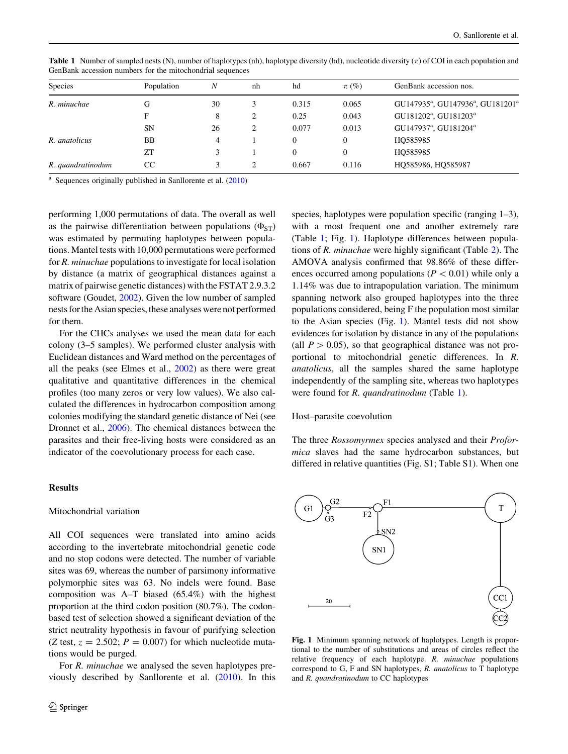| Species           | Population | $\boldsymbol{N}$ | nh | hd       | $\pi(\%)$ | GenBank accession nos.                                                |
|-------------------|------------|------------------|----|----------|-----------|-----------------------------------------------------------------------|
| R. minuchae       | G          | 30               |    | 0.315    | 0.065     | GU147935 <sup>a</sup> , GU147936 <sup>a</sup> , GU181201 <sup>a</sup> |
|                   | F          | 8                |    | 0.25     | 0.043     | GU181202 <sup>a</sup> , GU181203 <sup>a</sup>                         |
|                   | <b>SN</b>  | 26               |    | 0.077    | 0.013     | GU147937 <sup>a</sup> , GU181204 <sup>a</sup>                         |
| R. anatolicus     | ΒB         | 4                |    | $\Omega$ | $\Omega$  | HQ585985                                                              |
|                   | ZT         |                  |    | $\Omega$ | $\Omega$  | HO585985                                                              |
| R. quandratinodum | CС         |                  | 2  | 0.667    | 0.116     | HQ585986, HQ585987                                                    |

<span id="page-3-0"></span>**Table 1** Number of sampled nests  $(N)$ , number of haplotypes  $(nh)$ , haplotype diversity  $(nh)$ , nucleotide diversity  $(\pi)$  of COI in each population and GenBank accession numbers for the mitochondrial sequences

Sequences originally published in Sanllorente et al. ([2010\)](#page-7-0)

performing 1,000 permutations of data. The overall as well as the pairwise differentiation between populations  $(\Phi_{ST})$ was estimated by permuting haplotypes between populations. Mantel tests with 10,000 permutations were performed for R. minuchae populations to investigate for local isolation by distance (a matrix of geographical distances against a matrix of pairwise genetic distances) with the FSTAT 2.9.3.2 software (Goudet, [2002\)](#page-6-0). Given the low number of sampled nests for the Asian species, these analyses were not performed for them.

For the CHCs analyses we used the mean data for each colony (3–5 samples). We performed cluster analysis with Euclidean distances and Ward method on the percentages of all the peaks (see Elmes et al., [2002\)](#page-6-0) as there were great qualitative and quantitative differences in the chemical profiles (too many zeros or very low values). We also calculated the differences in hydrocarbon composition among colonies modifying the standard genetic distance of Nei (see Dronnet et al., [2006\)](#page-6-0). The chemical distances between the parasites and their free-living hosts were considered as an indicator of the coevolutionary process for each case.

# Results

## Mitochondrial variation

All COI sequences were translated into amino acids according to the invertebrate mitochondrial genetic code and no stop codons were detected. The number of variable sites was 69, whereas the number of parsimony informative polymorphic sites was 63. No indels were found. Base composition was A–T biased (65.4%) with the highest proportion at the third codon position (80.7%). The codonbased test of selection showed a significant deviation of the strict neutrality hypothesis in favour of purifying selection (Z test,  $z = 2.502$ ;  $P = 0.007$ ) for which nucleotide mutations would be purged.

For R. minuchae we analysed the seven haplotypes previously described by Sanllorente et al. [\(2010](#page-7-0)). In this species, haplotypes were population specific (ranging 1–3), with a most frequent one and another extremely rare (Table 1; Fig. 1). Haplotype differences between populations of R. minuchae were highly significant (Table [2](#page-4-0)). The AMOVA analysis confirmed that 98.86% of these differences occurred among populations ( $P \lt 0.01$ ) while only a 1.14% was due to intrapopulation variation. The minimum spanning network also grouped haplotypes into the three populations considered, being F the population most similar to the Asian species (Fig. 1). Mantel tests did not show evidences for isolation by distance in any of the populations (all  $P > 0.05$ ), so that geographical distance was not proportional to mitochondrial genetic differences. In R. anatolicus, all the samples shared the same haplotype independently of the sampling site, whereas two haplotypes were found for *R. quandratinodum* (Table 1).

#### Host–parasite coevolution

The three Rossomyrmex species analysed and their *Profor*mica slaves had the same hydrocarbon substances, but differed in relative quantities (Fig. S1; Table S1). When one



Fig. 1 Minimum spanning network of haplotypes. Length is proportional to the number of substitutions and areas of circles reflect the relative frequency of each haplotype. R. minuchae populations correspond to G, F and SN haplotypes, R. anatolicus to T haplotype and R. quandratinodum to CC haplotypes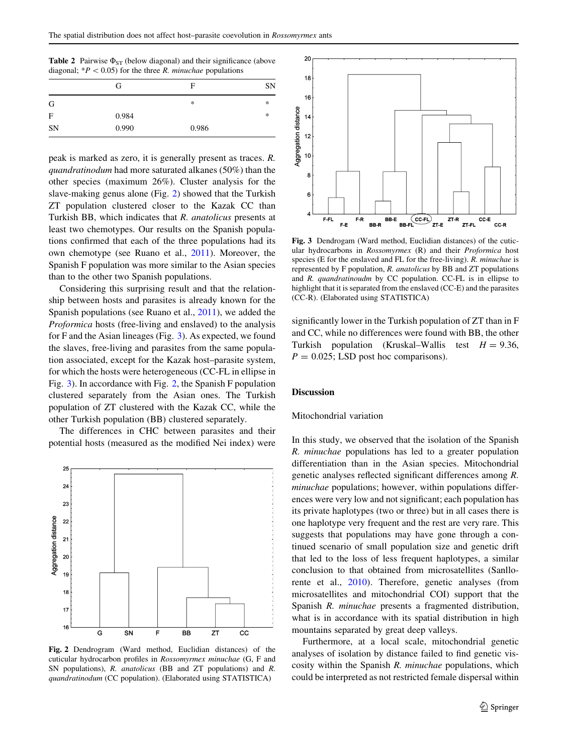<span id="page-4-0"></span>Table 2 Pairwise  $\Phi_{ST}$  (below diagonal) and their significance (above diagonal;  $*P < 0.05$ ) for the three R. minuchae populations

|           | G     | F     | SN |
|-----------|-------|-------|----|
| G         |       | *     | *  |
| F         | 0.984 |       | *  |
| <b>SN</b> | 0.990 | 0.986 |    |

peak is marked as zero, it is generally present as traces. R. quandratinodum had more saturated alkanes (50%) than the other species (maximum 26%). Cluster analysis for the slave-making genus alone (Fig. 2) showed that the Turkish ZT population clustered closer to the Kazak CC than Turkish BB, which indicates that R. anatolicus presents at least two chemotypes. Our results on the Spanish populations confirmed that each of the three populations had its own chemotype (see Ruano et al., [2011](#page-7-0)). Moreover, the Spanish F population was more similar to the Asian species than to the other two Spanish populations.

Considering this surprising result and that the relationship between hosts and parasites is already known for the Spanish populations (see Ruano et al., [2011](#page-7-0)), we added the Proformica hosts (free-living and enslaved) to the analysis for F and the Asian lineages (Fig. 3). As expected, we found the slaves, free-living and parasites from the same population associated, except for the Kazak host–parasite system, for which the hosts were heterogeneous (CC-FL in ellipse in Fig. 3). In accordance with Fig. 2, the Spanish F population clustered separately from the Asian ones. The Turkish population of ZT clustered with the Kazak CC, while the other Turkish population (BB) clustered separately.

The differences in CHC between parasites and their potential hosts (measured as the modified Nei index) were



Fig. 2 Dendrogram (Ward method, Euclidian distances) of the cuticular hydrocarbon profiles in Rossomyrmex minuchae (G, F and SN populations), R. *anatolicus* (BB and ZT populations) and R. quandratinodum (CC population). (Elaborated using STATISTICA)



Fig. 3 Dendrogam (Ward method, Euclidian distances) of the cuticular hydrocarbons in Rossomyrmex (R) and their Proformica host species (E for the enslaved and FL for the free-living). R. minuchae is represented by F population, R. anatolicus by BB and ZT populations and R. quandratinoudm by CC population. CC-FL is in ellipse to highlight that it is separated from the enslaved (CC-E) and the parasites (CC-R). (Elaborated using STATISTICA)

significantly lower in the Turkish population of ZT than in F and CC, while no differences were found with BB, the other Turkish population (Kruskal–Wallis test  $H = 9.36$ ,  $P = 0.025$ ; LSD post hoc comparisons).

## Discussion

#### Mitochondrial variation

In this study, we observed that the isolation of the Spanish R. minuchae populations has led to a greater population differentiation than in the Asian species. Mitochondrial genetic analyses reflected significant differences among R. minuchae populations; however, within populations differences were very low and not significant; each population has its private haplotypes (two or three) but in all cases there is one haplotype very frequent and the rest are very rare. This suggests that populations may have gone through a continued scenario of small population size and genetic drift that led to the loss of less frequent haplotypes, a similar conclusion to that obtained from microsatellites (Sanllorente et al., [2010](#page-7-0)). Therefore, genetic analyses (from microsatellites and mitochondrial COI) support that the Spanish R. minuchae presents a fragmented distribution, what is in accordance with its spatial distribution in high mountains separated by great deep valleys.

Furthermore, at a local scale, mitochondrial genetic analyses of isolation by distance failed to find genetic viscosity within the Spanish R. minuchae populations, which could be interpreted as not restricted female dispersal within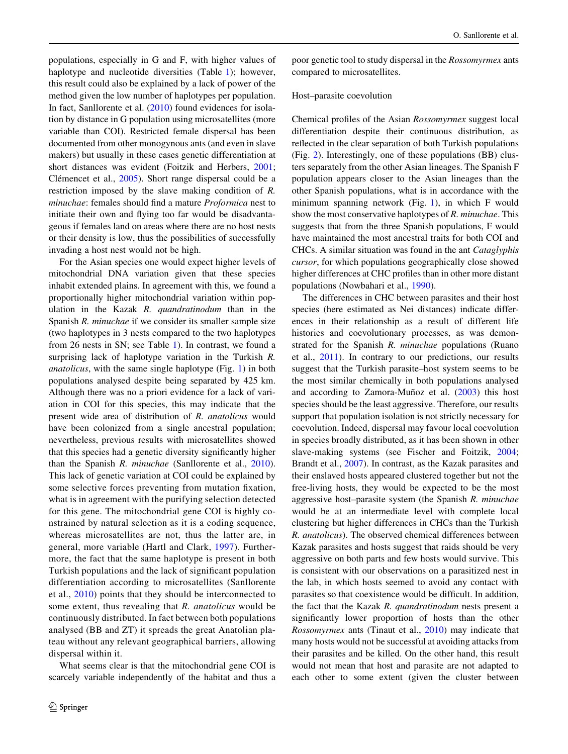populations, especially in G and F, with higher values of haplotype and nucleotide diversities (Table [1](#page-3-0)); however, this result could also be explained by a lack of power of the method given the low number of haplotypes per population. In fact, Sanllorente et al. [\(2010](#page-7-0)) found evidences for isolation by distance in G population using microsatellites (more variable than COI). Restricted female dispersal has been documented from other monogynous ants (and even in slave makers) but usually in these cases genetic differentiation at short distances was evident (Foitzik and Herbers, [2001](#page-6-0); Clémencet et al., [2005\)](#page-6-0). Short range dispersal could be a restriction imposed by the slave making condition of R. minuchae: females should find a mature Proformica nest to initiate their own and flying too far would be disadvantageous if females land on areas where there are no host nests or their density is low, thus the possibilities of successfully invading a host nest would not be high.

For the Asian species one would expect higher levels of mitochondrial DNA variation given that these species inhabit extended plains. In agreement with this, we found a proportionally higher mitochondrial variation within population in the Kazak R. quandratinodum than in the Spanish R. minuchae if we consider its smaller sample size (two haplotypes in 3 nests compared to the two haplotypes from 26 nests in SN; see Table [1](#page-3-0)). In contrast, we found a surprising lack of haplotype variation in the Turkish R. anatolicus, with the same single haplotype (Fig. [1](#page-3-0)) in both populations analysed despite being separated by 425 km. Although there was no a priori evidence for a lack of variation in COI for this species, this may indicate that the present wide area of distribution of R. anatolicus would have been colonized from a single ancestral population; nevertheless, previous results with microsatellites showed that this species had a genetic diversity significantly higher than the Spanish R. minuchae (Sanllorente et al., [2010](#page-7-0)). This lack of genetic variation at COI could be explained by some selective forces preventing from mutation fixation, what is in agreement with the purifying selection detected for this gene. The mitochondrial gene COI is highly constrained by natural selection as it is a coding sequence, whereas microsatellites are not, thus the latter are, in general, more variable (Hartl and Clark, [1997\)](#page-6-0). Furthermore, the fact that the same haplotype is present in both Turkish populations and the lack of significant population differentiation according to microsatellites (Sanllorente et al., [2010](#page-7-0)) points that they should be interconnected to some extent, thus revealing that R. anatolicus would be continuously distributed. In fact between both populations analysed (BB and ZT) it spreads the great Anatolian plateau without any relevant geographical barriers, allowing dispersal within it.

What seems clear is that the mitochondrial gene COI is scarcely variable independently of the habitat and thus a poor genetic tool to study dispersal in the Rossomyrmex ants compared to microsatellites.

#### Host–parasite coevolution

Chemical profiles of the Asian Rossomyrmex suggest local differentiation despite their continuous distribution, as reflected in the clear separation of both Turkish populations (Fig. [2\)](#page-4-0). Interestingly, one of these populations (BB) clusters separately from the other Asian lineages. The Spanish F population appears closer to the Asian lineages than the other Spanish populations, what is in accordance with the minimum spanning network (Fig. [1](#page-3-0)), in which F would show the most conservative haplotypes of R. minuchae. This suggests that from the three Spanish populations, F would have maintained the most ancestral traits for both COI and CHCs. A similar situation was found in the ant Cataglyphis cursor, for which populations geographically close showed higher differences at CHC profiles than in other more distant populations (Nowbahari et al., [1990\)](#page-7-0).

The differences in CHC between parasites and their host species (here estimated as Nei distances) indicate differences in their relationship as a result of different life histories and coevolutionary processes, as was demonstrated for the Spanish R. minuchae populations (Ruano et al., [2011](#page-7-0)). In contrary to our predictions, our results suggest that the Turkish parasite–host system seems to be the most similar chemically in both populations analysed and according to Zamora-Muñoz et al.  $(2003)$  $(2003)$  this host species should be the least aggressive. Therefore, our results support that population isolation is not strictly necessary for coevolution. Indeed, dispersal may favour local coevolution in species broadly distributed, as it has been shown in other slave-making systems (see Fischer and Foitzik, [2004](#page-6-0); Brandt et al., [2007](#page-6-0)). In contrast, as the Kazak parasites and their enslaved hosts appeared clustered together but not the free-living hosts, they would be expected to be the most aggressive host–parasite system (the Spanish R. minuchae would be at an intermediate level with complete local clustering but higher differences in CHCs than the Turkish R. anatolicus). The observed chemical differences between Kazak parasites and hosts suggest that raids should be very aggressive on both parts and few hosts would survive. This is consistent with our observations on a parasitized nest in the lab, in which hosts seemed to avoid any contact with parasites so that coexistence would be difficult. In addition, the fact that the Kazak R. quandratinodum nests present a significantly lower proportion of hosts than the other Rossomyrmex ants (Tinaut et al., [2010\)](#page-7-0) may indicate that many hosts would not be successful at avoiding attacks from their parasites and be killed. On the other hand, this result would not mean that host and parasite are not adapted to each other to some extent (given the cluster between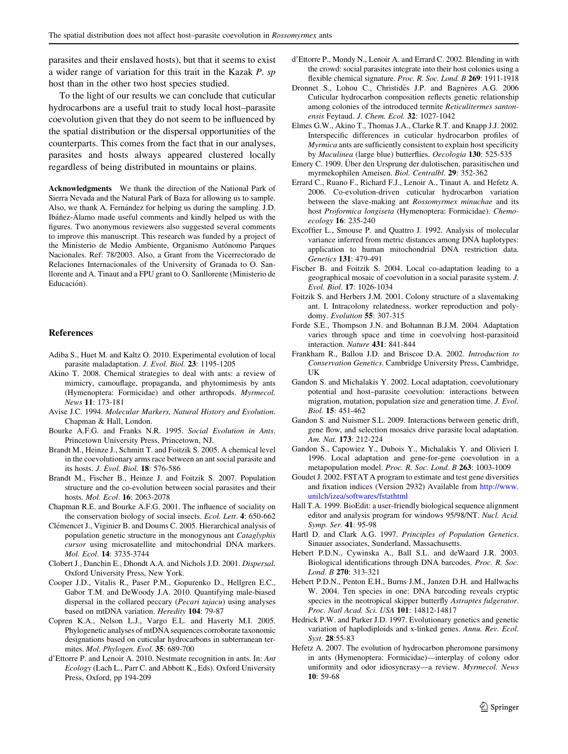<span id="page-6-0"></span>parasites and their enslaved hosts), but that it seems to exist a wider range of variation for this trait in the Kazak P. sp host than in the other two host species studied.

To the light of our results we can conclude that cuticular hydrocarbons are a useful trait to study local host–parasite coevolution given that they do not seem to be influenced by the spatial distribution or the dispersal opportunities of the counterparts. This comes from the fact that in our analyses, parasites and hosts always appeared clustered locally regardless of being distributed in mountains or plains.

Acknowledgments We thank the direction of the National Park of Sierra Nevada and the Natural Park of Baza for allowing us to sample. Also, we thank A. Fernández for helping us during the sampling. J.D. Ibáñez-Álamo made useful comments and kindly helped us with the figures. Two anonymous reviewers also suggested several comments to improve this manuscript. This research was funded by a project of the Ministerio de Medio Ambiente, Organismo Autónomo Parques Nacionales. Ref: 78/2003. Also, a Grant from the Vicerrectorado de Relaciones Internacionales of the University of Granada to O. Sanllorente and A. Tinaut and a FPU grant to O. Sanllorente (Ministerio de Educación).

#### References

- Adiba S., Huet M. and Kaltz O. 2010. Experimental evolution of local parasite maladaptation. J. Evol. Biol. 23: 1195-1205
- Akino T. 2008. Chemical strategies to deal with ants: a review of mimicry, camouflage, propaganda, and phytomimesis by ants (Hymenoptera: Formicidae) and other arthropods. Myrmecol. News 11: 173-181
- Avise J.C. 1994. Molecular Markers, Natural History and Evolution. Chapman & Hall, London.
- Bourke A.F.G. and Franks N.R. 1995. Social Evolution in Ants. Princetown University Press, Princetown, NJ.
- Brandt M., Heinze J., Schmitt T. and Foitzik S. 2005. A chemical level in the coevolutionary arms race between an ant social parasite and its hosts. J. Evol. Biol. 18: 576-586
- Brandt M., Fischer B., Heinze J. and Foitzik S. 2007. Population structure and the co-evolution between social parasites and their hosts. Mol. Ecol. 16: 2063-2078
- Chapman R.E. and Bourke A.F.G. 2001. The influence of sociality on the conservation biology of social insects. Ecol. Lett. 4: 650-662
- Clémencet J., Viginier B. and Doums C. 2005. Hierarchical analysis of population genetic structure in the monogynous ant Cataglyphis cursor using microsatellite and mitochondrial DNA markers. Mol. Ecol. 14: 3735-3744
- Clobert J., Danchin E., Dhondt A.A. and Nichols J.D. 2001. Dispersal. Oxford University Press, New York.
- Cooper J.D., Vitalis R., Paser P.M., Gopurenko D., Hellgren E.C., Gabor T.M. and DeWoody J.A. 2010. Quantifying male-biased dispersal in the collared peccary (Pecari tajacu) using analyses based on mtDNA variation. Heredity 104: 79-87
- Copren K.A., Nelson L.J., Vargo E.L. and Haverty M.I. 2005. Phylogenetic analyses of mtDNA sequences corroborate taxonomic designations based on cuticular hydrocarbons in subterranean termites. Mol. Phylogen. Evol. 35: 689-700
- d'Ettorre P. and Lenoir A. 2010. Nestmate recognition in ants. In: Ant Ecology (Lach L., Parr C. and Abbott K., Eds). Oxford University Press, Oxford, pp 194-209
- d'Ettorre P., Mondy N., Lenoir A. and Errard C. 2002. Blending in with the crowd: social parasites integrate into their host colonies using a flexible chemical signature. Proc. R. Soc. Lond. B 269: 1911-1918
- Dronnet S., Lohou C., Christidès J.P. and Bagnères A.G. 2006 Cuticular hydrocarbon composition reflects genetic relationship among colonies of the introduced termite Reticulitermes santonensis Feytaud. J. Chem. Ecol. 32: 1027-1042
- Elmes G.W., Akino T., Thomas J.A., Clarke R.T. and Knapp J.J. 2002. Interspecific differences in cuticular hydrocarbon profiles of Myrmica ants are sufficiently consistent to explain host specificity by Maculinea (large blue) butterflies. Oecologia 130: 525-535
- Emery C. 1909. Über den Ursprung der dulotischen, parasitischen und myrmekophilen Ameisen. Biol. Centralbl. 29: 352-362
- Errard C., Ruano F., Richard F.J., Lenoir A., Tinaut A. and Hefetz A. 2006. Co-evolution-driven cuticular hydrocarbon variation between the slave-making ant Rossomyrmex minuchae and its host Proformica longiseta (Hymenoptera: Formicidae). Chemoecology 16: 235-240
- Excoffier L., Smouse P. and Quattro J. 1992. Analysis of molecular variance inferred from metric distances among DNA haplotypes: application to human mitochondrial DNA restriction data. Genetics 131: 479-491
- Fischer B. and Foitzik S. 2004. Local co-adaptation leading to a geographical mosaic of coevolution in a social parasite system. J. Evol. Biol. 17: 1026-1034
- Foitzik S. and Herbers J.M. 2001. Colony structure of a slavemaking ant. I. Intracolony relatedness, worker reproduction and polydomy. Evolution 55: 307-315
- Forde S.E., Thompson J.N. and Bohannan B.J.M. 2004. Adaptation varies through space and time in coevolving host-parasitoid interaction. Nature 431: 841-844
- Frankham R., Ballou J.D. and Briscoe D.A. 2002. Introduction to Conservation Genetics. Cambridge University Press, Cambridge, **IK**
- Gandon S. and Michalakis Y. 2002. Local adaptation, coevolutionary potential and host–parasite coevolution: interactions between migration, mutation, population size and generation time. J. Evol. Biol. 15: 451-462
- Gandon S. and Nuismer S.L. 2009. Interactions between genetic drift, gene flow, and selection mosaics drive parasite local adaptation. Am. Nat. 173: 212-224
- Gandon S., Capowiez Y., Dubois Y., Michalakis Y. and Olivieri I. 1996. Local adaptation and gene-for-gene coevolution in a metapopulation model. Proc. R. Soc. Lond. B 263: 1003-1009
- Goudet J. 2002. FSTAT A program to estimate and test gene diversities and fixation indices (Version 2932) Available from [http://www.](http://www.unilch/izea/softwares/fstathtml) [unilch/izea/softwares/fstathtml](http://www.unilch/izea/softwares/fstathtml)
- Hall T.A. 1999. BioEdit: a user-friendly biological sequence alignment editor and analysis program for windows 95/98/NT. Nucl. Acid. Symp. Ser. 41: 95-98
- Hartl D. and Clark A.G. 1997. Principles of Population Genetics. Sinauer associates, Sunderland, Massachusetts.
- Hebert P.D.N., Cywinska A., Ball S.L. and deWaard J.R. 2003. Biological identifications through DNA barcodes. Proc. R. Soc. Lond. B 270: 313-321
- Hebert P.D.N., Penton E.H., Burns J.M., Janzen D.H. and Hallwachs W. 2004. Ten species in one: DNA barcoding reveals cryptic species in the neotropical skipper butterfly Astraptes fulgerator. Proc. Natl Acad. Sci. USA 101: 14812-14817
- Hedrick P.W. and Parker J.D. 1997. Evolutionary genetics and genetic variation of haplodiploids and x-linked genes. Annu. Rev. Ecol. Syst. 28:55-83
- Hefetz A. 2007. The evolution of hydrocarbon pheromone parsimony in ants (Hymenoptera: Formicidae)—interplay of colony odor uniformity and odor idiosyncrasy—a review. Myrmecol. News 10: 59-68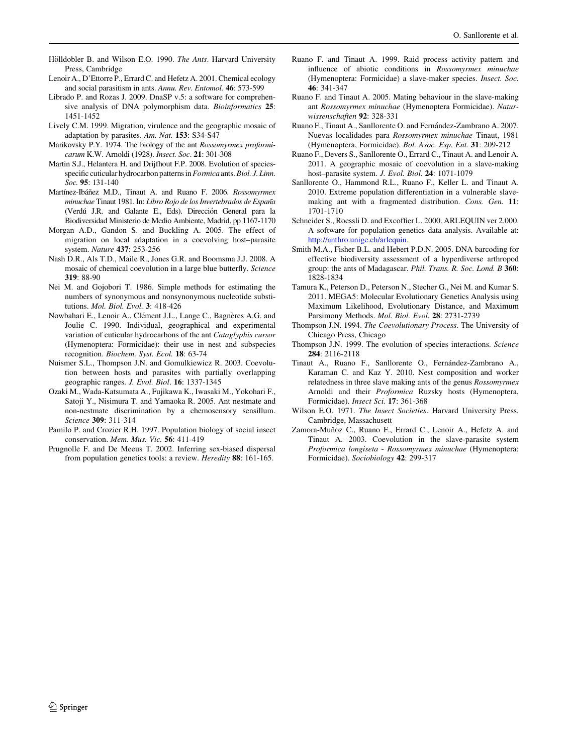- <span id="page-7-0"></span>Hölldobler B. and Wilson E.O. 1990. The Ants. Harvard University Press, Cambridge
- Lenoir A., D'Ettorre P., Errard C. and Hefetz A. 2001. Chemical ecology and social parasitism in ants. Annu. Rev. Entomol. 46: 573-599
- Librado P. and Rozas J. 2009. DnaSP v.5: a software for comprehensive analysis of DNA polymorphism data. Bioinformatics 25: 1451-1452
- Lively C.M. 1999. Migration, virulence and the geographic mosaic of adaptation by parasites. Am. Nat. 153: S34-S47
- Marikovsky P.Y. 1974. The biology of the ant Rossomyrmex proformicarum K.W. Arnoldi (1928). Insect. Soc. 21: 301-308
- Martin S.J., Helantera H. and Drijfhout F.P. 2008. Evolution of speciesspecific cuticular hydrocarbon patterns in Formica ants. Biol. J. Linn. Soc. 95: 131-140
- Martínez-Ibáñez M.D., Tinaut A. and Ruano F. 2006. Rossomyrmex minuchae Tinaut 1981. In: Libro Rojo de los Invertebrados de Espan˜a (Verdú J.R. and Galante E., Eds). Dirección General para la Biodiversidad Ministerio de Medio Ambiente, Madrid, pp 1167-1170
- Morgan A.D., Gandon S. and Buckling A. 2005. The effect of migration on local adaptation in a coevolving host–parasite system. Nature 437: 253-256
- Nash D.R., Als T.D., Maile R., Jones G.R. and Boomsma J.J. 2008. A mosaic of chemical coevolution in a large blue butterfly. Science 319: 88-90
- Nei M. and Gojobori T. 1986. Simple methods for estimating the numbers of synonymous and nonsynonymous nucleotide substitutions. Mol. Biol. Evol. 3: 418-426
- Nowbahari E., Lenoir A., Clément J.L., Lange C., Bagnères A.G. and Joulie C. 1990. Individual, geographical and experimental variation of cuticular hydrocarbons of the ant Cataglyphis cursor (Hymenoptera: Formicidae): their use in nest and subspecies recognition. Biochem. Syst. Ecol. 18: 63-74
- Nuismer S.L., Thompson J.N. and Gomulkiewicz R. 2003. Coevolution between hosts and parasites with partially overlapping geographic ranges. J. Evol. Biol. 16: 1337-1345
- Ozaki M., Wada-Katsumata A., Fujikawa K., Iwasaki M., Yokohari F., Satoji Y., Nisimura T. and Yamaoka R. 2005. Ant nestmate and non-nestmate discrimination by a chemosensory sensillum. Science 309: 311-314
- Pamilo P. and Crozier R.H. 1997. Population biology of social insect conservation. Mem. Mus. Vic. 56: 411-419
- Prugnolle F. and De Meeus T. 2002. Inferring sex-biased dispersal from population genetics tools: a review. Heredity 88: 161-165.
- Ruano F. and Tinaut A. 1999. Raid process activity pattern and influence of abiotic conditions in Rossomyrmex minuchae (Hymenoptera: Formicidae) a slave-maker species. Insect. Soc. 46: 341-347
- Ruano F. and Tinaut A. 2005. Mating behaviour in the slave-making ant Rossomyrmex minuchae (Hymenoptera Formicidae). Naturwissenschaften 92: 328-331
- Ruano F., Tinaut A., Sanllorente O. and Fernández-Zambrano A. 2007. Nuevas localidades para Rossomyrmex minuchae Tinaut, 1981 (Hymenoptera, Formicidae). Bol. Asoc. Esp. Ent. 31: 209-212
- Ruano F., Devers S., Sanllorente O., Errard C., Tinaut A. and Lenoir A. 2011. A geographic mosaic of coevolution in a slave-making host–parasite system. J. Evol. Biol. 24: 1071-1079
- Sanllorente O., Hammond R.L., Ruano F., Keller L. and Tinaut A. 2010. Extreme population differentiation in a vulnerable slavemaking ant with a fragmented distribution. Cons. Gen. 11: 1701-1710
- Schneider S., Roessli D. and Excoffier L. 2000. ARLEQUIN ver 2.000. A software for population genetics data analysis. Available at: [http://anthro.unige.ch/arlequin.](http://anthro.unige.ch/arlequin)
- Smith M.A., Fisher B.L. and Hebert P.D.N. 2005. DNA barcoding for effective biodiversity assessment of a hyperdiverse arthropod group: the ants of Madagascar. Phil. Trans. R. Soc. Lond. B 360: 1828-1834
- Tamura K., Peterson D., Peterson N., Stecher G., Nei M. and Kumar S. 2011. MEGA5: Molecular Evolutionary Genetics Analysis using Maximum Likelihood, Evolutionary Distance, and Maximum Parsimony Methods. Mol. Biol. Evol. 28: 2731-2739
- Thompson J.N. 1994. The Coevolutionary Process. The University of Chicago Press, Chicago
- Thompson J.N. 1999. The evolution of species interactions. Science 284: 2116-2118
- Tinaut A., Ruano F., Sanllorente O., Fernández-Zambrano A., Karaman C. and Kaz Y. 2010. Nest composition and worker relatedness in three slave making ants of the genus Rossomyrmex Arnoldi and their Proformica Ruzsky hosts (Hymenoptera, Formicidae). Insect Sci. 17: 361-368
- Wilson E.O. 1971. The Insect Societies. Harvard University Press, Cambridge, Massachusett
- Zamora-Muñoz C., Ruano F., Errard C., Lenoir A., Hefetz A. and Tinaut A. 2003. Coevolution in the slave-parasite system Proformica longiseta - Rossomyrmex minuchae (Hymenoptera: Formicidae). Sociobiology 42: 299-317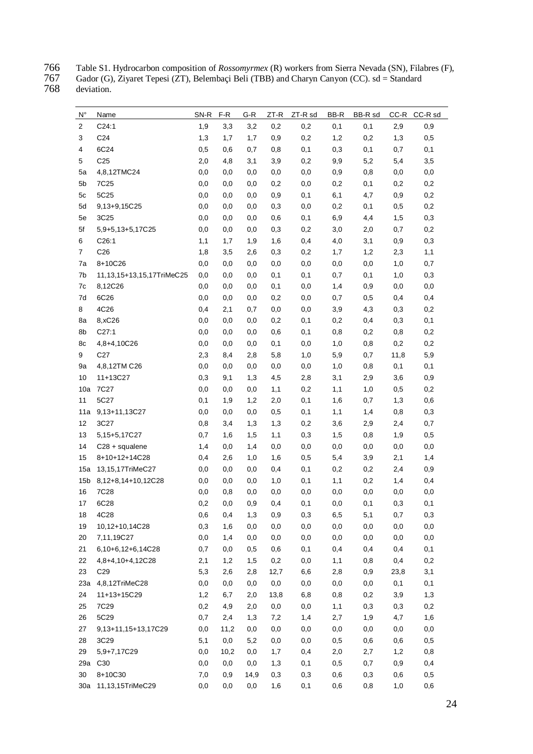766 Table S1. Hydrocarbon composition of *Rossomyrmex* (R) workers from Sierra Nevada (SN), Filabres (F), 766 Table S1.1<br>767 Gador (G)<br>768 deviation.

767 Gador (G), Ziyaret Tepesi (ZT), Belembaçi Beli (TBB) and Charyn Canyon (CC). sd = Standard

| N°              | Name                          | SN-R | F-R      | G-R  | ZT-R | ZT-R sd | BB-R         | BB-R sd | $CC-R$   | CC-R sd  |
|-----------------|-------------------------------|------|----------|------|------|---------|--------------|---------|----------|----------|
| $\overline{c}$  | C24:1                         | 1,9  | 3,3      | 3,2  | 0,2  | 0,2     | 0,1          | 0,1     | 2,9      | 0,9      |
| 3               | C <sub>24</sub>               | 1,3  | 1,7      | 1,7  | 0,9  | 0,2     | 1,2          | 0,2     | 1,3      | 0,5      |
| 4               | 6C24                          | 0,5  | 0,6      | 0,7  | 0,8  | 0,1     | 0,3          | 0,1     | 0,7      | 0,1      |
| 5               | C <sub>25</sub>               | 2,0  | 4,8      | 3,1  | 3,9  | 0,2     | 9,9          | 5,2     | 5,4      | 3,5      |
| 5a              | 4,8,12TMC24                   | 0,0  | $_{0,0}$ | 0,0  | 0,0  | 0,0     | 0,9          | 0,8     | 0,0      | $_{0,0}$ |
| 5b              | 7C <sub>25</sub>              | 0,0  | 0,0      | 0,0  | 0,2  | 0,0     | 0,2          | 0,1     | 0,2      | 0,2      |
| 5c              | 5C25                          | 0,0  | 0,0      | 0,0  | 0,9  | 0,1     | 6,1          | 4,7     | 0,9      | 0,2      |
| 5d              | 9,13+9,15C25                  | 0,0  | 0,0      | 0,0  | 0,3  | 0,0     | 0,2          | 0,1     | 0,5      | 0,2      |
| 5e              | 3C25                          | 0,0  | 0,0      | 0,0  | 0,6  | 0,1     | 6,9          | 4,4     | 1,5      | 0,3      |
| 5f              | 5,9+5,13+5,17C25              | 0,0  | 0,0      | 0,0  | 0,3  | 0,2     | 3,0          | 2,0     | 0,7      | 0,2      |
| 6               | C26:1                         | 1,1  | 1,7      | 1,9  | 1,6  | 0,4     | 4,0          | 3,1     | 0,9      | 0,3      |
| 7               | C <sub>26</sub>               | 1,8  | 3,5      | 2,6  | 0,3  | 0,2     | 1,7          | 1,2     | 2,3      | 1,1      |
| 7a              | 8+10C26                       | 0,0  | 0,0      | 0,0  | 0,0  | 0,0     | $_{0,0}$     | 0,0     | 1,0      | 0,7      |
| 7b              | 11, 13, 15+13, 15, 17TriMeC25 | 0,0  | 0,0      | 0,0  | 0,1  | 0,1     | 0,7          | 0,1     | 1,0      | 0,3      |
| 7c              | 8,12C26                       | 0,0  | 0,0      | 0,0  | 0,1  | 0,0     | 1,4          | 0,9     | 0,0      | $_{0,0}$ |
| 7d              | 6C26                          | 0,0  | 0,0      | 0,0  | 0,2  | 0,0     | 0,7          | 0,5     | 0,4      | 0,4      |
| 8               | 4C26                          | 0,4  | 2,1      | 0,7  | 0,0  | 0,0     | 3,9          | 4,3     | 0,3      | 0,2      |
| 8a              | 8, xC26                       | 0,0  | 0,0      | 0,0  | 0,2  | 0,1     | 0,2          | 0,4     | 0,3      | 0,1      |
| 8b              | C27:1                         | 0,0  | $_{0,0}$ | 0,0  | 0,6  | 0,1     | 0,8          | 0,2     | 0,8      | 0,2      |
| 8c              | 4,8+4,10C26                   | 0,0  | 0,0      | 0,0  | 0,1  | 0,0     | 1,0          | 0,8     | 0,2      | 0,2      |
| 9               | C <sub>27</sub>               | 2,3  | 8,4      | 2,8  | 5,8  | 1,0     | 5,9          | 0,7     | 11,8     | 5,9      |
| 9а              | 4,8,12TM C26                  | 0,0  | 0,0      | 0,0  | 0,0  | 0,0     | 1,0          | 0,8     | 0,1      | 0,1      |
| 10              | 11+13C27                      | 0,3  | 9,1      | 1,3  | 4,5  | 2,8     | 3,1          | 2,9     | 3,6      | 0,9      |
| 10a             | 7C27                          | 0,0  | 0,0      | 0,0  | 1,1  | 0,2     | 1,1          | 1,0     | 0,5      | 0,2      |
| 11              | 5C27                          | 0,1  | 1,9      | 1,2  | 2,0  | 0,1     | 1,6          | 0,7     | 1,3      | 0,6      |
| 11a             | 9,13+11,13C27                 | 0,0  | 0,0      | 0,0  | 0,5  | 0,1     | 1,1          | 1,4     | 0,8      | 0,3      |
| 12              | 3C27                          | 0,8  | 3,4      | 1,3  | 1,3  | 0,2     | 3,6          | 2,9     | 2,4      | 0,7      |
| 13              | 5, 15+5, 17C27                | 0,7  | 1,6      | 1,5  | 1,1  | 0,3     | 1,5          | 0,8     | 1,9      | 0,5      |
| 14              | C28 + squalene                | 1,4  | $_{0,0}$ | 1,4  | 0,0  | 0,0     | $_{0,0}$     | 0,0     | 0,0      | $_{0,0}$ |
| 15              | 8+10+12+14C28                 | 0,4  | 2,6      | 1,0  | 1,6  | 0,5     | 5,4          | 3,9     | 2,1      | 1,4      |
| 15a             | 13,15,17TriMeC27              | 0,0  | 0,0      | 0,0  | 0,4  | 0,1     | 0,2          | 0,2     | 2,4      | 0,9      |
| 15 <sub>b</sub> | 8,12+8,14+10,12C28            | 0,0  | 0,0      | 0,0  | 1,0  | 0,1     | 1,1          | 0,2     | 1,4      | 0,4      |
| 16              | 7C28                          | 0,0  | 0,8      | 0,0  | 0,0  | 0,0     | 0,0          | 0,0     | 0,0      | $_{0,0}$ |
| 17              | 6C28                          | 0,2  | 0,0      | 0,9  | 0,4  | 0,1     | $_{\rm 0,0}$ | 0,1     | 0,3      | 0,1      |
| 18              | 4C28                          | 0,6  | 0,4      | 1,3  | 0,9  | 0,3     | 6,5          | 5,1     | 0,7      | 0,3      |
| 19              | 10,12+10,14C28                | 0,3  | 1,6      | 0,0  | 0,0  | 0,0     | 0,0          | 0,0     | $_{0,0}$ | $_{0,0}$ |
| 20              | 7,11,19C27                    | 0,0  | 1,4      | 0,0  | 0,0  | 0,0     | $_{0,0}$     | 0,0     | 0,0      | $_{0,0}$ |
| 21              | 6,10+6,12+6,14C28             | 0,7  | 0,0      | 0,5  | 0,6  | 0,1     | 0,4          | 0,4     | 0,4      | 0,1      |
| 22              | 4,8+4,10+4,12C28              | 2,1  | 1,2      | 1,5  | 0,2  | 0,0     | 1,1          | 0,8     | 0,4      | 0,2      |
| 23              | C <sub>29</sub>               | 5,3  | 2,6      | 2,8  | 12,7 | 6,6     | 2,8          | 0,9     | 23,8     | 3,1      |
| 23a             | 4,8,12TriMeC28                | 0,0  | 0,0      | 0,0  | 0,0  | 0,0     | 0,0          | 0,0     | 0,1      | 0,1      |
| 24              | 11+13+15C29                   | 1,2  | 6,7      | 2,0  | 13,8 | 6,8     | 0,8          | 0,2     | 3,9      | 1,3      |
| 25              | 7C29                          | 0,2  | 4,9      | 2,0  | 0,0  | 0,0     | 1,1          | 0,3     | 0,3      | 0,2      |
| 26              | 5C29                          | 0,7  | 2,4      | 1,3  | 7,2  | 1,4     | 2,7          | 1,9     | 4,7      | 1,6      |
| 27              | 9,13+11,15+13,17C29           | 0,0  | 11,2     | 0,0  | 0,0  | 0,0     | $_{0,0}$     | 0,0     | $_{0,0}$ | $_{0,0}$ |
| 28              | 3C29                          | 5,1  | 0,0      | 5,2  | 0,0  | 0,0     | 0,5          | 0,6     | 0,6      | 0,5      |
| 29              | 5,9+7,17C29                   | 0,0  | 10,2     | 0,0  | 1,7  | 0,4     | 2,0          | 2,7     | 1,2      | 0,8      |
| 29a             | C <sub>30</sub>               | 0,0  | 0,0      | 0,0  | 1,3  | 0,1     | 0,5          | 0,7     | 0,9      | 0,4      |
| 30              | 8+10C30                       | 7,0  | 0,9      | 14,9 | 0,3  | 0,3     | 0,6          | 0,3     | 0,6      | 0,5      |
| 30a             | 11,13,15TriMeC29              | 0,0  | 0,0      | 0,0  | 1,6  | 0,1     | 0,6          | 0,8     | 1,0      | 0,6      |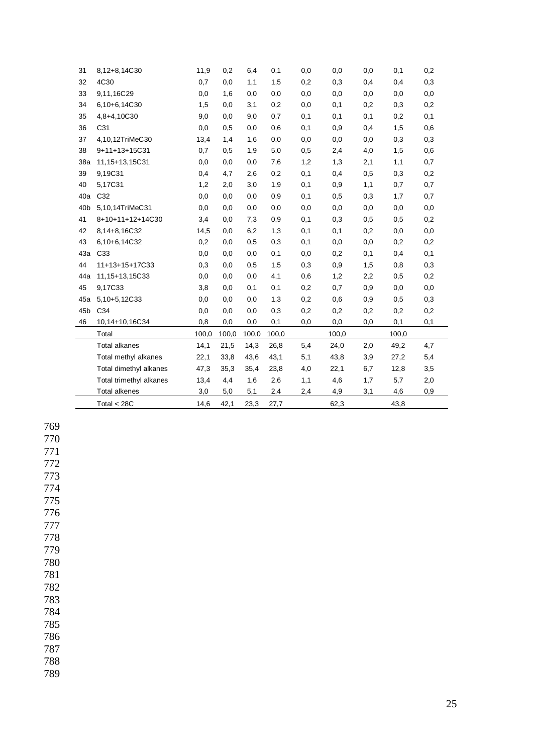| 31              | 8,12+8,14C30            | 11,9  | 0,2   | 6,4   | 0,1   | 0,0 | 0,0   | 0,0 | 0,1   | 0,2      |
|-----------------|-------------------------|-------|-------|-------|-------|-----|-------|-----|-------|----------|
| 32              | 4C30                    | 0,7   | 0,0   | 1,1   | 1,5   | 0,2 | 0,3   | 0,4 | 0,4   | 0,3      |
| 33              | 9,11,16C29              | 0,0   | 1,6   | 0,0   | 0,0   | 0,0 | 0,0   | 0,0 | 0,0   | 0,0      |
| 34              | 6,10+6,14C30            | 1,5   | 0,0   | 3,1   | 0,2   | 0,0 | 0,1   | 0,2 | 0,3   | 0,2      |
| 35              | 4,8+4,10C30             | 9,0   | 0,0   | 9,0   | 0,7   | 0,1 | 0,1   | 0,1 | 0,2   | 0,1      |
| 36              | C31                     | 0,0   | 0,5   | 0,0   | 0,6   | 0,1 | 0,9   | 0,4 | 1,5   | 0,6      |
| 37              | 4,10,12TriMeC30         | 13,4  | 1,4   | 1,6   | 0,0   | 0,0 | 0,0   | 0,0 | 0,3   | 0,3      |
| 38              | 9+11+13+15C31           | 0,7   | 0,5   | 1,9   | 5,0   | 0,5 | 2,4   | 4,0 | 1,5   | 0,6      |
| 38a             | 11, 15+13, 15C31        | 0,0   | 0,0   | 0,0   | 7,6   | 1,2 | 1,3   | 2,1 | 1,1   | 0,7      |
| 39              | 9,19C31                 | 0,4   | 4,7   | 2,6   | 0,2   | 0,1 | 0,4   | 0,5 | 0,3   | 0,2      |
| 40              | 5,17C31                 | 1,2   | 2,0   | 3,0   | 1,9   | 0,1 | 0,9   | 1,1 | 0,7   | 0,7      |
| 40a             | C <sub>32</sub>         | 0,0   | 0,0   | 0,0   | 0,9   | 0,1 | 0,5   | 0,3 | 1,7   | 0,7      |
| 40 <sub>b</sub> | 5,10,14TriMeC31         | 0,0   | 0,0   | 0,0   | 0,0   | 0,0 | 0,0   | 0,0 | 0,0   | 0,0      |
| 41              | 8+10+11+12+14C30        | 3,4   | 0,0   | 7,3   | 0,9   | 0,1 | 0,3   | 0,5 | 0,5   | 0,2      |
| 42              | 8,14+8,16C32            | 14,5  | 0,0   | 6,2   | 1,3   | 0,1 | 0,1   | 0,2 | 0,0   | $_{0,0}$ |
| 43              | 6,10+6,14C32            | 0,2   | 0,0   | 0,5   | 0,3   | 0,1 | 0,0   | 0,0 | 0,2   | 0,2      |
| 43a             | C <sub>33</sub>         | 0,0   | 0,0   | 0,0   | 0,1   | 0,0 | 0,2   | 0,1 | 0,4   | 0,1      |
| 44              | 11+13+15+17C33          | 0,3   | 0,0   | 0,5   | 1,5   | 0,3 | 0,9   | 1,5 | 0,8   | 0,3      |
| 44a             | 11, 15+13, 15C33        | 0,0   | 0,0   | 0,0   | 4,1   | 0,6 | 1,2   | 2,2 | 0,5   | 0,2      |
| 45              | 9,17C33                 | 3,8   | 0,0   | 0,1   | 0,1   | 0,2 | 0,7   | 0,9 | 0,0   | 0,0      |
| 45a             | 5,10+5,12C33            | 0,0   | 0,0   | 0,0   | 1,3   | 0,2 | 0,6   | 0,9 | 0,5   | 0,3      |
| 45b             | C34                     | 0,0   | 0,0   | 0,0   | 0,3   | 0,2 | 0,2   | 0,2 | 0,2   | 0,2      |
| 46              | 10,14+10,16C34          | 0,8   | 0,0   | 0,0   | 0,1   | 0,0 | 0,0   | 0,0 | 0,1   | 0,1      |
|                 | Total                   | 100,0 | 100,0 | 100,0 | 100,0 |     | 100,0 |     | 100,0 |          |
|                 | <b>Total alkanes</b>    | 14,1  | 21,5  | 14,3  | 26,8  | 5,4 | 24,0  | 2,0 | 49,2  | 4,7      |
|                 | Total methyl alkanes    | 22,1  | 33,8  | 43,6  | 43,1  | 5,1 | 43,8  | 3,9 | 27,2  | 5,4      |
|                 | Total dimethyl alkanes  | 47,3  | 35,3  | 35,4  | 23,8  | 4,0 | 22,1  | 6,7 | 12,8  | 3,5      |
|                 | Total trimethyl alkanes | 13,4  | 4,4   | 1,6   | 2,6   | 1,1 | 4,6   | 1,7 | 5,7   | 2,0      |
|                 | <b>Total alkenes</b>    | 3,0   | 5,0   | 5,1   | 2,4   | 2,4 | 4,9   | 3,1 | 4,6   | 0,9      |
|                 | Total $<$ 28C           | 14,6  | 42,1  | 23,3  | 27,7  |     | 62,3  |     | 43,8  |          |